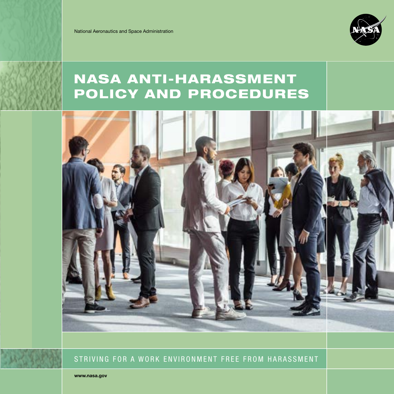National Aeronautics and Space Administration



# NASA ANTI-HARASSMENT POLICY AND PROCEDURES



STRIVING FOR A WORK ENVIRONMENT FREE FROM HARASSMENT

<www.nasa.gov>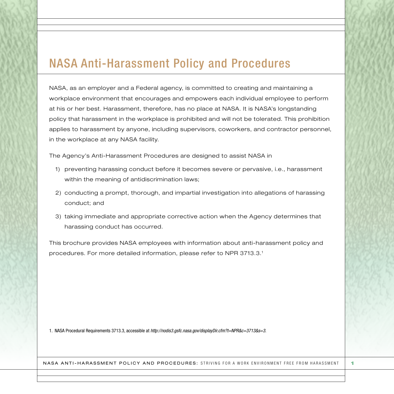### NASA Anti-Harassment Policy and Procedures

NASA, as an employer and a Federal agency, is committed to creating and maintaining a workplace environment that encourages and empowers each individual employee to perform at his or her best. Harassment, therefore, has no place at NASA. It is NASA's longstanding policy that harassment in the workplace is prohibited and will not be tolerated. This prohibition applies to harassment by anyone, including supervisors, coworkers, and contractor personnel, in the workplace at any NASA facility.

The Agency's Anti-Harassment Procedures are designed to assist NASA in

- 1) preventing harassing conduct before it becomes severe or pervasive, i.e., harassment within the meaning of antidiscrimination laws;
- 2) conducting a prompt, thorough, and impartial investigation into allegations of harassing conduct; and
- 3) taking immediate and appropriate corrective action when the Agency determines that harassing conduct has occurred.

This brochure provides NASA employees with information about anti-harassment policy and procedures. For more detailed information, please refer to NPR 3713.3.1

1. NASA Procedural Requirements 3713.3, accessible at *<http://nodis3.gsfc.nasa.gov/displayDir.cfm?t=NPR&c=3713&s=3>*.

NASA ANTI-HARASSMENT POLICY AND PROCEDURES: STRIVING FOR A WORK ENVIRONMENT FREE FROM HARASSMENT | 1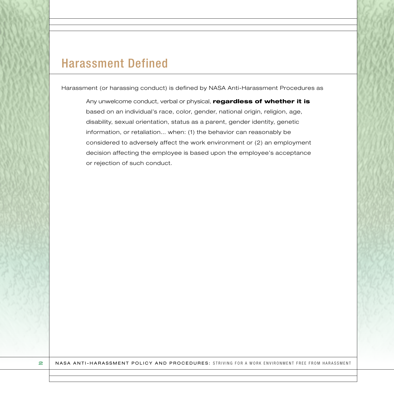#### Harassment Defined

Harassment (or harassing conduct) is defined by NASA Anti-Harassment Procedures as

Any unwelcome conduct, verbal or physical, **regardless of whether it is** based on an individual's race, color, gender, national origin, religion, age, disability, sexual orientation, status as a parent, gender identity, genetic information, or retaliation... when: (1) the behavior can reasonably be considered to adversely affect the work environment or (2) an employment decision affecting the employee is based upon the employee's acceptance or rejection of such conduct.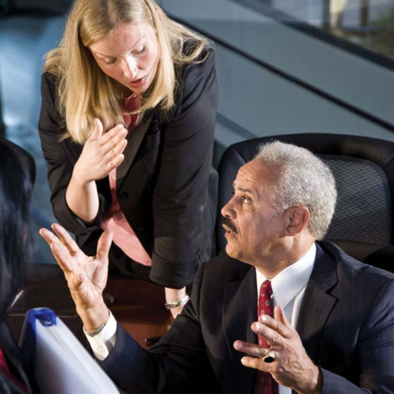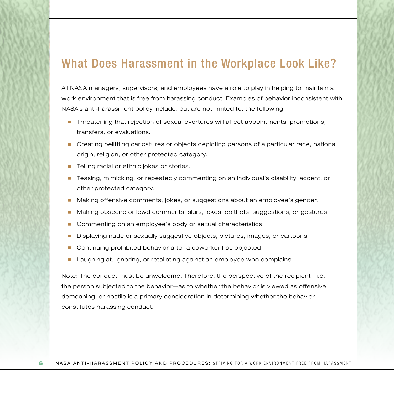#### What Does Harassment in the Workplace Look Like?

All NASA managers, supervisors, and employees have a role to play in helping to maintain a work environment that is free from harassing conduct. Examples of behavior inconsistent with NASA's anti-harassment policy include, but are not limited to, the following:

- **n** Threatening that rejection of sexual overtures will affect appointments, promotions, transfers, or evaluations.
- **n** Creating belittling caricatures or objects depicting persons of a particular race, national origin, religion, or other protected category.
- Telling racial or ethnic jokes or stories.
- n Teasing, mimicking, or repeatedly commenting on an individual's disability, accent, or other protected category.
- n Making offensive comments, jokes, or suggestions about an employee's gender.
- n Making obscene or lewd comments, slurs, jokes, epithets, suggestions, or gestures.
- Commenting on an employee's body or sexual characteristics.
- Displaying nude or sexually suggestive objects, pictures, images, or cartoons.
- Continuing prohibited behavior after a coworker has objected.
- Laughing at, ignoring, or retaliating against an employee who complains.

Note: The conduct must be unwelcome. Therefore, the perspective of the recipient—i.e., the person subjected to the behavior—as to whether the behavior is viewed as offensive, demeaning, or hostile is a primary consideration in determining whether the behavior constitutes harassing conduct.

6 NASA ANTI-HARASSMENT POLICY AND PROCEDURES: STRIVING FOR A WORK ENVIRONMENT FREE FROM HARASSMENT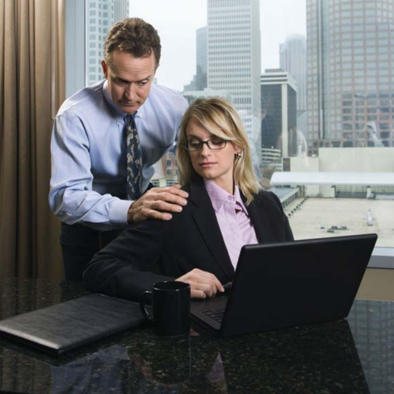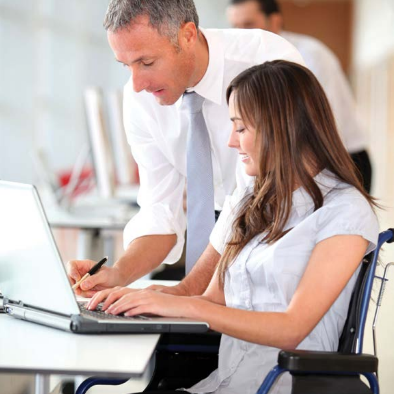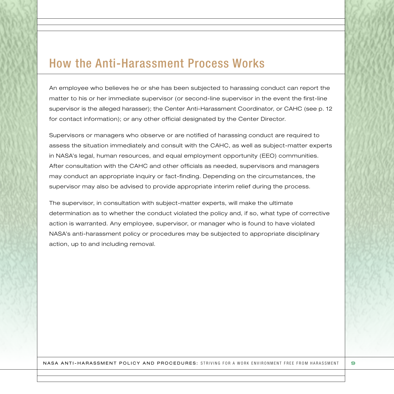#### How the Anti-Harassment Process Works

An employee who believes he or she has been subjected to harassing conduct can report the matter to his or her immediate supervisor (or second-line supervisor in the event the first-line supervisor is the alleged harasser); the Center Anti-Harassment Coordinator, or CAHC (see p. 12 for contact information); or any other official designated by the Center Director.

Supervisors or managers who observe or are notified of harassing conduct are required to assess the situation immediately and consult with the CAHC, as well as subject-matter experts in NASA's legal, human resources, and equal employment opportunity (EEO) communities. After consultation with the CAHC and other officials as needed, supervisors and managers may conduct an appropriate inquiry or fact-finding. Depending on the circumstances, the supervisor may also be advised to provide appropriate interim relief during the process.

The supervisor, in consultation with subject-matter experts, will make the ultimate determination as to whether the conduct violated the policy and, if so, what type of corrective action is warranted. Any employee, supervisor, or manager who is found to have violated NASA's anti-harassment policy or procedures may be subjected to appropriate disciplinary action, up to and including removal.

NASA ANTI-HARASSMENT POLICY AND PROCEDURES: STRIVING FOR A WORK ENVIRONMENT FREE FROM HARASSMENT | 9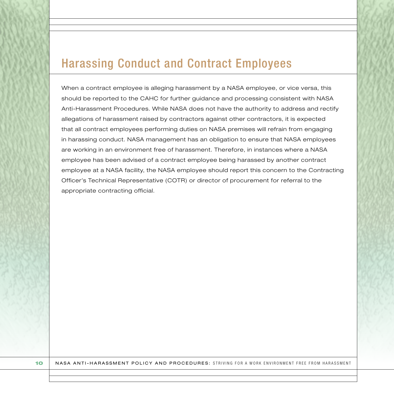### Harassing Conduct and Contract Employees

When a contract employee is alleging harassment by a NASA employee, or vice versa, this should be reported to the CAHC for further guidance and processing consistent with NASA Anti-Harassment Procedures. While NASA does not have the authority to address and rectify allegations of harassment raised by contractors against other contractors, it is expected that all contract employees performing duties on NASA premises will refrain from engaging in harassing conduct. NASA management has an obligation to ensure that NASA employees are working in an environment free of harassment. Therefore, in instances where a NASA employee has been advised of a contract employee being harassed by another contract employee at a NASA facility, the NASA employee should report this concern to the Contracting Officer's Technical Representative (COTR) or director of procurement for referral to the appropriate contracting official.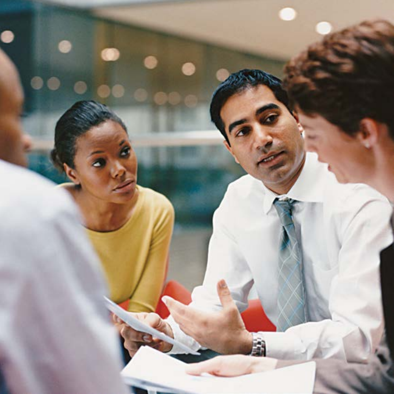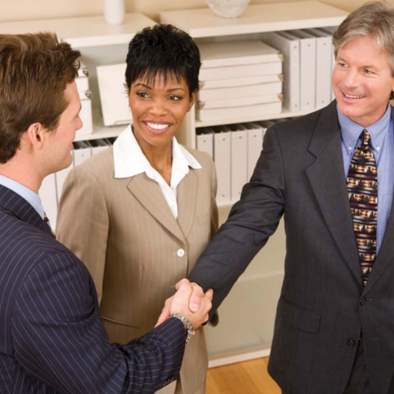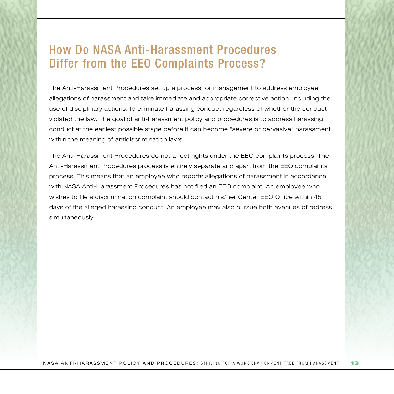## How Do NASA Anti-Harassment Procedures Differ from the EEO Complaints Process?

The Anti-Harassment Procedures set up a process for management to address employee allegations of harassment and take immediate and appropriate corrective action, including the use of disciplinary actions, to eliminate harassing conduct regardless of whether the conduct violated the law. The goal of anti-harassment policy and procedures is to address harassing conduct at the earliest possible stage before it can become "severe or pervasive" harassment within the meaning of antidiscrimination laws.

The Anti-Harassment Procedures do not affect rights under the EEO complaints process. The Anti-Harassment Procedures process is entirely separate and apart from the EEO complaints process. This means that an employee who reports allegations of harassment in accordance with NASA Anti-Harassment Procedures has not filed an EEO complaint. An employee who wishes to file a discrimination complaint should contact his/her Center EEO Office within 45 days of the alleged harassing conduct. An employee may also pursue both avenues of redress simultaneously.

NASA ANTI-HARASSMENT POLICY AND PROCEDURES: STRIVING FOR A WORK ENVIRONMENT FREE FROM HARASSMENT | 13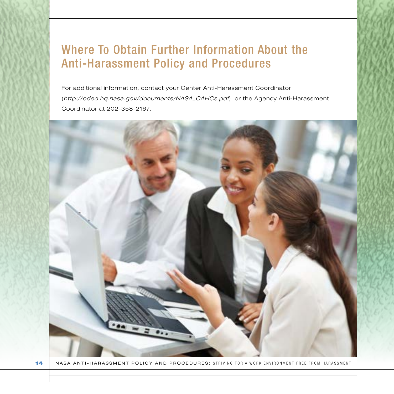# Where To Obtain Further Information About the Anti-Harassment Policy and Procedures

For additional information, contact your Center Anti-Harassment Coordinator (*[http://odeo.hq.nasa.gov/documents/NASA\\_CAHCs.pdf](http://odeo.hq.nasa.gov/documents/NASA_CAHCs.pdf)*), or the Agency Anti-Harassment Coordinator at 202-358-2167.



14 NASA ANTI-HARASSMENT POLICY AND PROCEDURES: STRIVING FOR A WORK ENVIRONMENT FREE FROM HARASSMENT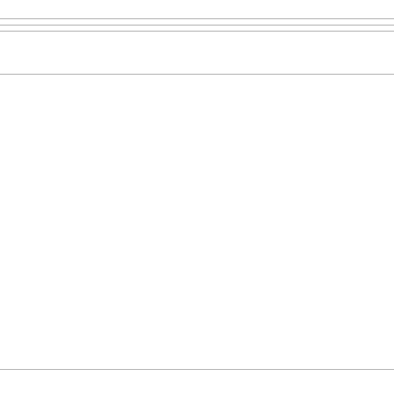$\overline{\phantom{0}}$